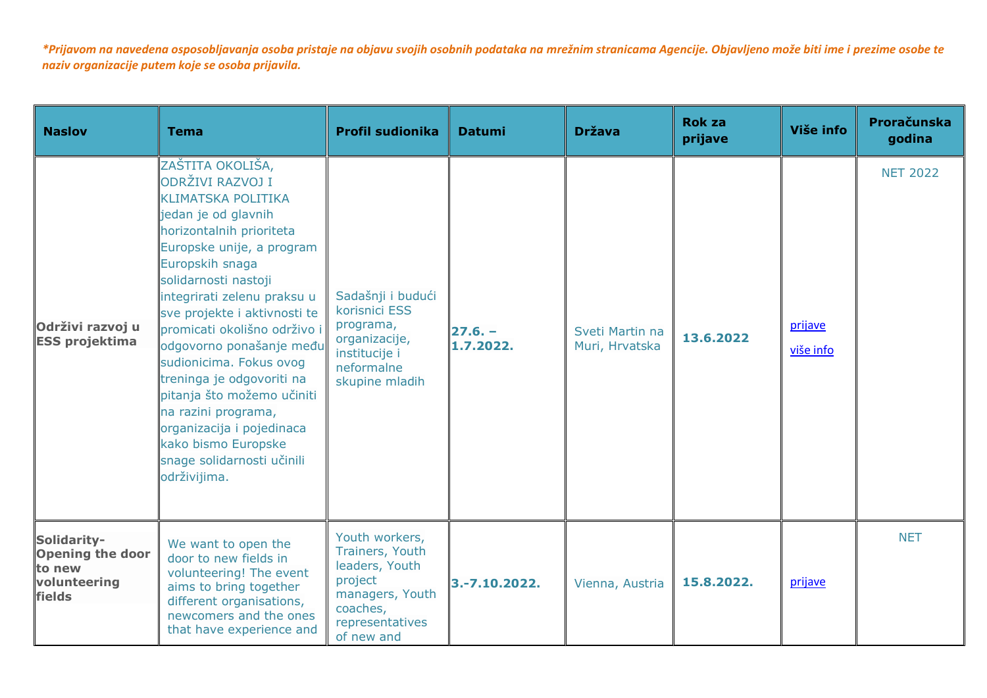| <b>Naslov</b>                                                              | <b>Tema</b>                                                                                                                                                                                                                                                                                                                                                                                                                                                                                                                            | <b>Profil sudionika</b>                                                                                                        | <b>Datumi</b>         | <b>Država</b>                     | <b>Rok za</b><br>prijave | Više info            | Proračunska<br>godina |
|----------------------------------------------------------------------------|----------------------------------------------------------------------------------------------------------------------------------------------------------------------------------------------------------------------------------------------------------------------------------------------------------------------------------------------------------------------------------------------------------------------------------------------------------------------------------------------------------------------------------------|--------------------------------------------------------------------------------------------------------------------------------|-----------------------|-----------------------------------|--------------------------|----------------------|-----------------------|
| Održivi razvoj u<br><b>ESS projektima</b>                                  | ZAŠTITA OKOLIŠA,<br>ODRŽIVI RAZVOJ I<br><b>KLIMATSKA POLITIKA</b><br>jedan je od glavnih<br>horizontalnih prioriteta<br>Europske unije, a program<br>Europskih snaga<br>solidarnosti nastoji<br>integrirati zelenu praksu u<br>sve projekte i aktivnosti te<br>promicati okolišno održivo i<br>odgovorno ponašanje među<br>sudionicima. Fokus ovog<br>treninga je odgovoriti na<br>pitanja što možemo učiniti<br>na razini programa,<br>organizacija i pojedinaca<br>kako bismo Europske<br>snage solidarnosti učinili<br>održivijima. | Sadašnji i budući<br>korisnici ESS<br>programa,<br>organizacije,<br>institucije i<br>neformalne<br>skupine mladih              | $27.6 -$<br>1.7.2022. | Sveti Martin na<br>Muri, Hrvatska | 13.6.2022                | prijave<br>više info | <b>NET 2022</b>       |
| Solidarity-<br><b>Opening the door</b><br>to new<br>volunteering<br>fields | We want to open the<br>door to new fields in<br>volunteering! The event<br>aims to bring together<br>different organisations,<br>newcomers and the ones<br>that have experience and                                                                                                                                                                                                                                                                                                                                                    | Youth workers,<br>Trainers, Youth<br>leaders, Youth<br>project<br>managers, Youth<br>coaches,<br>representatives<br>of new and | 3.-7.10.2022.         | Vienna, Austria                   | 15,8,2022.               | prijave              | <b>NET</b>            |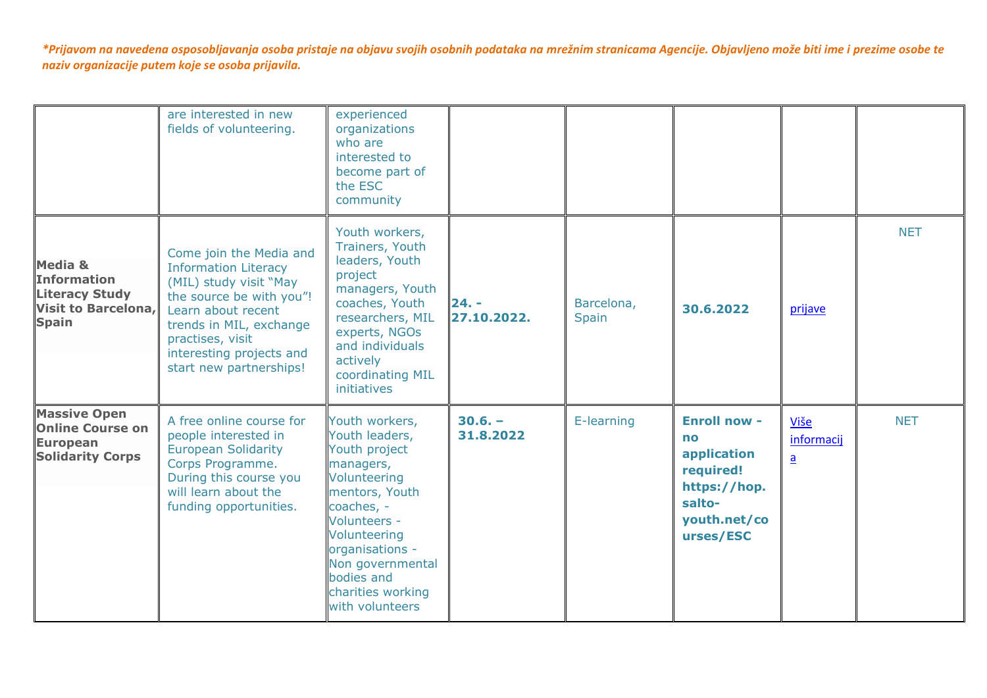|                                                                                               | are interested in new<br>fields of volunteering.                                                                                                                                                                                         | experienced<br>organizations<br>who are<br>interested to<br>become part of<br>the ESC<br>community                                                                                                                                          |                        |                            |                                                                                                              |                                    |            |
|-----------------------------------------------------------------------------------------------|------------------------------------------------------------------------------------------------------------------------------------------------------------------------------------------------------------------------------------------|---------------------------------------------------------------------------------------------------------------------------------------------------------------------------------------------------------------------------------------------|------------------------|----------------------------|--------------------------------------------------------------------------------------------------------------|------------------------------------|------------|
| Media &<br><b>Information</b><br><b>Literacy Study</b><br>Visit to Barcelona,<br><b>Spain</b> | Come join the Media and<br><b>Information Literacy</b><br>(MIL) study visit "May<br>the source be with you"!<br>Learn about recent<br>trends in MIL, exchange<br>practises, visit<br>interesting projects and<br>start new partnerships! | Youth workers,<br>Trainers, Youth<br>leaders, Youth<br>project<br>managers, Youth<br>coaches, Youth<br>researchers, MIL<br>experts, NGOs<br>and individuals<br>actively<br>coordinating MIL<br>initiatives                                  | $24. -$<br>27.10.2022. | Barcelona,<br><b>Spain</b> | 30.6.2022                                                                                                    | prijave                            | <b>NET</b> |
| <b>Massive Open</b><br><b>Online Course on</b><br><b>European</b><br><b>Solidarity Corps</b>  | A free online course for<br>people interested in<br><b>European Solidarity</b><br>Corps Programme.<br>During this course you<br>will learn about the<br>funding opportunities.                                                           | Youth workers,<br>Youth leaders,<br>Youth project<br>managers,<br>Volunteering<br>mentors, Youth<br>coaches, -<br>Volunteers -<br>Volunteering<br>organisations -<br>Non governmental<br>bodies and<br>charities working<br>with volunteers | $30.6. -$<br>31.8.2022 | E-learning                 | <b>Enroll now -</b><br>no<br>application<br>required!<br>https://hop.<br>salto-<br>youth.net/co<br>urses/ESC | Više<br>informacij<br>$\mathbf{a}$ | <b>NET</b> |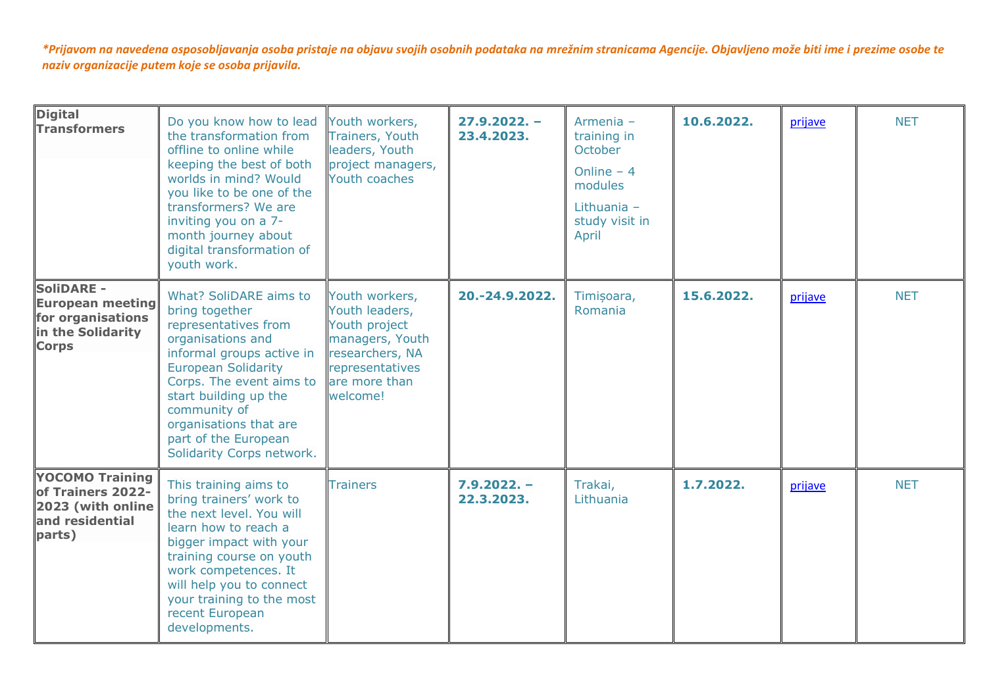| <b>Digital</b><br><b>Transformers</b>                                                                  | Do you know how to lead<br>the transformation from<br>offline to online while<br>keeping the best of both<br>worlds in mind? Would<br>you like to be one of the<br>transformers? We are<br>inviting you on a 7-<br>month journey about<br>digital transformation of<br>youth work.                   | Youth workers,<br>Trainers, Youth<br>leaders, Youth<br>project managers,<br>Youth coaches                                               | $27.9.2022. -$<br>23.4.2023. | Armenia -<br>training in<br>October<br>Online $-4$<br>modules<br>Lithuania $-$<br>study visit in<br>April | 10.6.2022. | prijave | <b>NET</b> |
|--------------------------------------------------------------------------------------------------------|------------------------------------------------------------------------------------------------------------------------------------------------------------------------------------------------------------------------------------------------------------------------------------------------------|-----------------------------------------------------------------------------------------------------------------------------------------|------------------------------|-----------------------------------------------------------------------------------------------------------|------------|---------|------------|
| <b>SoliDARE -</b><br><b>European meeting</b><br>for organisations<br>in the Solidarity<br><b>Corps</b> | What? SoliDARE aims to<br>bring together<br>representatives from<br>organisations and<br>informal groups active in<br><b>European Solidarity</b><br>Corps. The event aims to<br>start building up the<br>community of<br>organisations that are<br>part of the European<br>Solidarity Corps network. | Youth workers,<br>Youth leaders,<br>Youth project<br>managers, Youth<br>researchers, NA<br>representatives<br>are more than<br>welcome! | 20.-24.9.2022.               | Timișoara,<br>Romania                                                                                     | 15.6.2022. | prijave | <b>NET</b> |
| <b>YOCOMO Training</b><br>of Trainers 2022-<br>2023 (with online<br>and residential<br>parts)          | This training aims to<br>bring trainers' work to<br>the next level. You will<br>learn how to reach a<br>bigger impact with your<br>training course on youth<br>work competences. It<br>will help you to connect<br>your training to the most<br>recent European<br>developments.                     | <b>Trainers</b>                                                                                                                         | $7.9.2022. -$<br>22.3.2023.  | Trakai,<br>Lithuania                                                                                      | 1.7.2022.  | prijave | <b>NET</b> |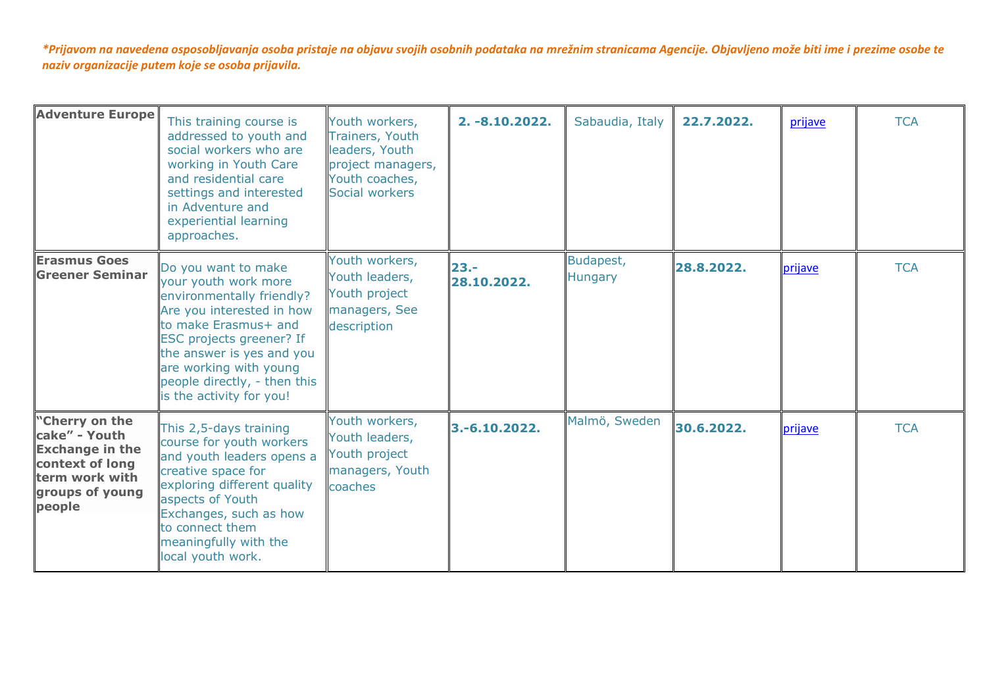| <b>Adventure Europe</b>                                                                                                     | This training course is<br>addressed to youth and<br>social workers who are<br>working in Youth Care<br>and residential care<br>settings and interested<br>in Adventure and<br>experiential learning<br>approaches.                                                          | Youth workers,<br>Trainers, Youth<br>leaders, Youth<br>project managers,<br>Youth coaches,<br>Social workers | $2. -8.10.2022.$      | Sabaudia, Italy             | 22.7.2022. | prijave | <b>TCA</b> |
|-----------------------------------------------------------------------------------------------------------------------------|------------------------------------------------------------------------------------------------------------------------------------------------------------------------------------------------------------------------------------------------------------------------------|--------------------------------------------------------------------------------------------------------------|-----------------------|-----------------------------|------------|---------|------------|
| <b>Erasmus Goes</b><br><b>Greener Seminar</b>                                                                               | Do you want to make<br>your youth work more<br>environmentally friendly?<br>Are you interested in how<br>to make Erasmus+ and<br>ESC projects greener? If<br>the answer is yes and you<br>are working with young<br>people directly, - then this<br>is the activity for you! | Youth workers,<br>Youth leaders,<br>Youth project<br>managers, See<br>description                            | $23 -$<br>28.10.2022. | Budapest,<br><b>Hungary</b> | 28.8.2022. | prijave | <b>TCA</b> |
| "Cherry on the<br>cake" - Youth<br><b>Exchange in the</b><br>context of long<br>term work with<br>groups of young<br>people | This 2,5-days training<br>course for youth workers<br>and youth leaders opens a<br>creative space for<br>exploring different quality<br>aspects of Youth<br>Exchanges, such as how<br>to connect them<br>meaningfully with the<br>local youth work.                          | Youth workers,<br>Youth leaders,<br>Youth project<br>managers, Youth<br>coaches                              | $3,-6,10,2022.$       | Malmö, Sweden               | 30.6.2022. | prijave | <b>TCA</b> |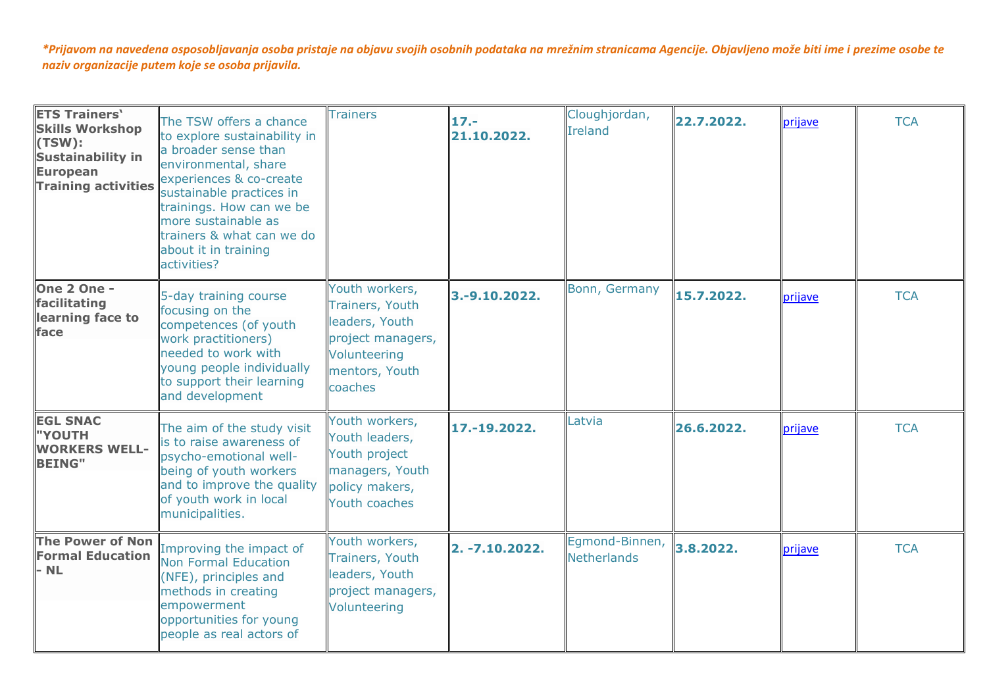| <b>ETS Trainers'</b><br><b>Skills Workshop</b><br>(TSW):<br><b>Sustainability in</b><br><b>European</b><br><b>Training activities</b> | The TSW offers a chance<br>to explore sustainability in<br>a broader sense than<br>environmental, share<br>experiences & co-create<br>sustainable practices in<br>trainings. How can we be<br>more sustainable as<br>trainers & what can we do<br>about it in training<br>activities? | <b>Trainers</b>                                                                                                       | $17 -$<br>21.10.2022. | Cloughjordan,<br>Ireland             | 22.7.2022. | prijave | <b>TCA</b> |
|---------------------------------------------------------------------------------------------------------------------------------------|---------------------------------------------------------------------------------------------------------------------------------------------------------------------------------------------------------------------------------------------------------------------------------------|-----------------------------------------------------------------------------------------------------------------------|-----------------------|--------------------------------------|------------|---------|------------|
| One 2 One -<br>facilitating<br>learning face to<br>face                                                                               | 5-day training course<br>focusing on the<br>competences (of youth<br>work practitioners)<br>needed to work with<br>young people individually<br>to support their learning<br>and development                                                                                          | Youth workers,<br>Trainers, Youth<br>leaders, Youth<br>project managers,<br>Volunteering<br>mentors, Youth<br>coaches | $3.-9.10.2022.$       | Bonn, Germany                        | 15.7.2022. | prijave | <b>TCA</b> |
| <b>EGL SNAC</b><br>"YOUTH<br><b>WORKERS WELL-</b><br><b>BEING"</b>                                                                    | The aim of the study visit<br>is to raise awareness of<br>psycho-emotional well-<br>being of youth workers<br>and to improve the quality<br>of youth work in local<br>municipalities.                                                                                                 | Youth workers,<br>Youth leaders,<br>Youth project<br>managers, Youth<br>policy makers,<br>Youth coaches               | 17.-19.2022.          | Latvia                               | 26.6.2022. | prijave | <b>TCA</b> |
| <b>The Power of Non</b><br><b>Formal Education</b><br>$-$ NL                                                                          | Improving the impact of<br>Non Formal Education<br>(NFE), principles and<br>methods in creating<br>empowerment<br>opportunities for young<br>people as real actors of                                                                                                                 | Youth workers,<br><b>Trainers, Youth</b><br>leaders, Youth<br>project managers,<br>Volunteering                       | 2. -7.10.2022.        | Egmond-Binnen,<br><b>Netherlands</b> | 3.8.2022.  | prijave | <b>TCA</b> |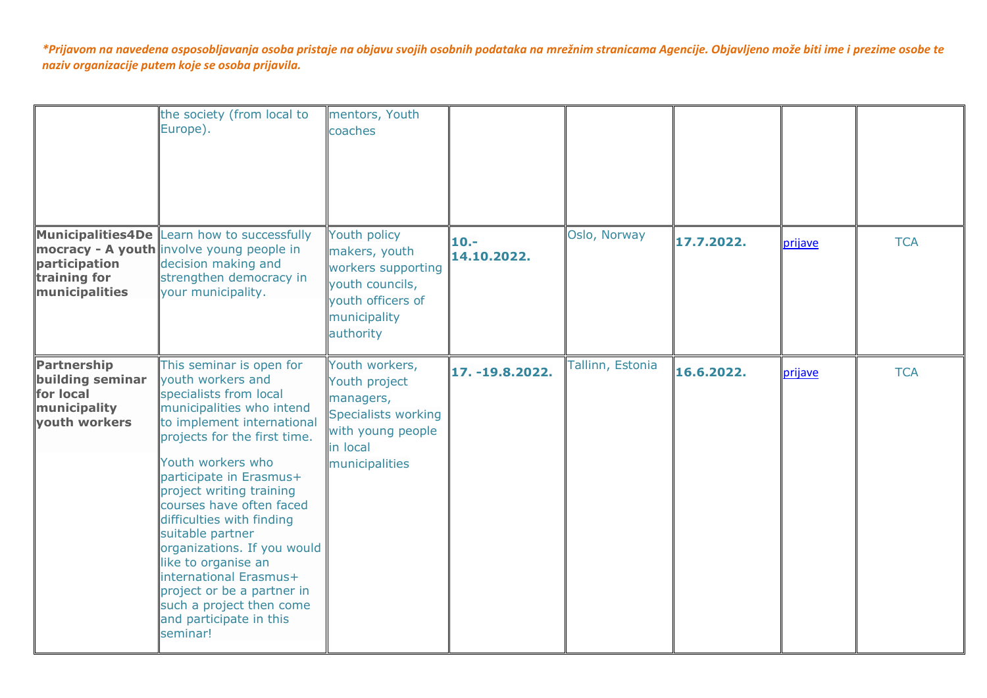|                                                                                      | the society (from local to<br>Europe).                                                                                                                                                                                                                                                                                                                                                                                                                                                                       | mentors, Youth<br>coaches                                                                                                     |                        |                  |            |         |            |
|--------------------------------------------------------------------------------------|--------------------------------------------------------------------------------------------------------------------------------------------------------------------------------------------------------------------------------------------------------------------------------------------------------------------------------------------------------------------------------------------------------------------------------------------------------------------------------------------------------------|-------------------------------------------------------------------------------------------------------------------------------|------------------------|------------------|------------|---------|------------|
| participation<br>training for<br>municipalities                                      | Municipalities4De Learn how to successfully<br>mocracy - A youth involve young people in<br>decision making and<br>strengthen democracy in<br>your municipality.                                                                                                                                                                                                                                                                                                                                             | Youth policy<br>makers, youth<br>workers supporting<br>youth councils,<br>youth officers of<br>municipality<br>authority      | $10. -$<br>14.10.2022. | Oslo, Norway     | 17.7.2022. | prijave | <b>TCA</b> |
| <b>Partnership</b><br>building seminar<br>for local<br>municipality<br>youth workers | This seminar is open for<br>vouth workers and<br>specialists from local<br>municipalities who intend<br>to implement international<br>projects for the first time.<br>Youth workers who<br>participate in Erasmus+<br>project writing training<br>courses have often faced<br>difficulties with finding<br>suitable partner<br>organizations. If you would<br>like to organise an<br>international Erasmus+<br>project or be a partner in<br>such a project then come<br>and participate in this<br>seminar! | Youth workers,<br>Youth project<br>managers,<br><b>Specialists working</b><br>with young people<br>in local<br>municipalities | 17. -19.8.2022.        | Tallinn, Estonia | 16.6.2022. | prijave | <b>TCA</b> |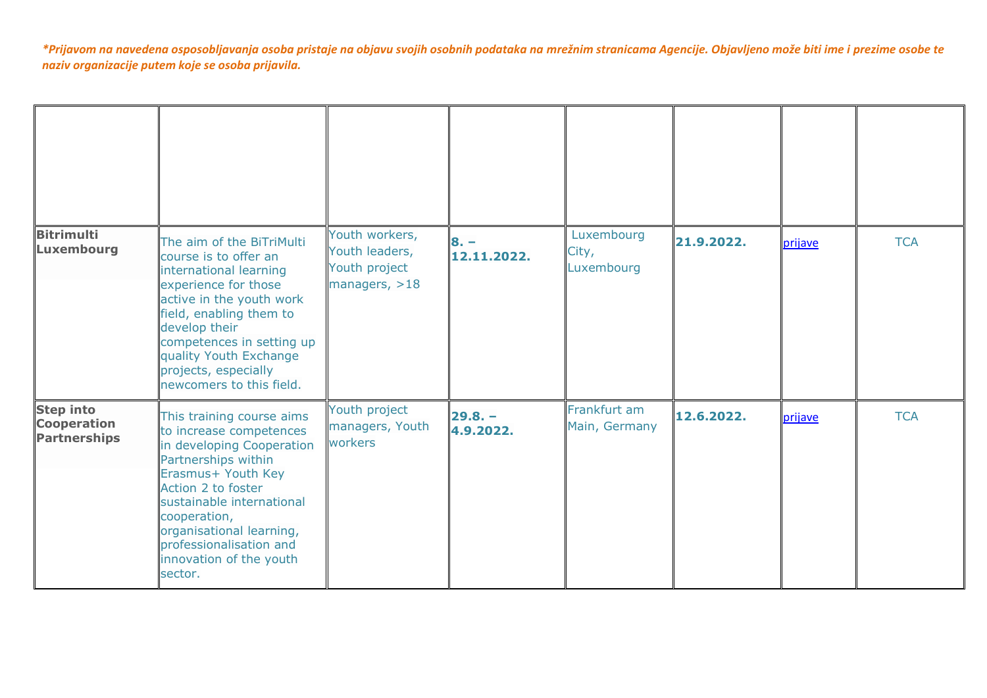| <b>Bitrimulti</b><br><b>Luxembourg</b>                        | The aim of the BiTriMulti<br>course is to offer an<br>international learning<br>experience for those<br>active in the youth work<br>field, enabling them to<br>develop their<br>competences in setting up<br>quality Youth Exchange<br>projects, especially<br>newcomers to this field.        | Youth workers,<br>Youth leaders,<br>Youth project<br>managers, $>18$ | $8. -$<br>12.11.2022.  | Luxembourg<br>City,<br>Luxembourg | 21.9.2022. | prijave | <b>TCA</b> |
|---------------------------------------------------------------|------------------------------------------------------------------------------------------------------------------------------------------------------------------------------------------------------------------------------------------------------------------------------------------------|----------------------------------------------------------------------|------------------------|-----------------------------------|------------|---------|------------|
| <b>Step into</b><br><b>Cooperation</b><br><b>Partnerships</b> | This training course aims<br>to increase competences<br>in developing Cooperation<br>Partnerships within<br>Erasmus+ Youth Key<br>Action 2 to foster<br>sustainable international<br>cooperation,<br>organisational learning,<br>professionalisation and<br>innovation of the youth<br>sector. | Youth project<br>managers, Youth<br>workers                          | $29.8. -$<br>4.9.2022. | Frankfurt am<br>Main, Germany     | 12.6.2022. | prijave | <b>TCA</b> |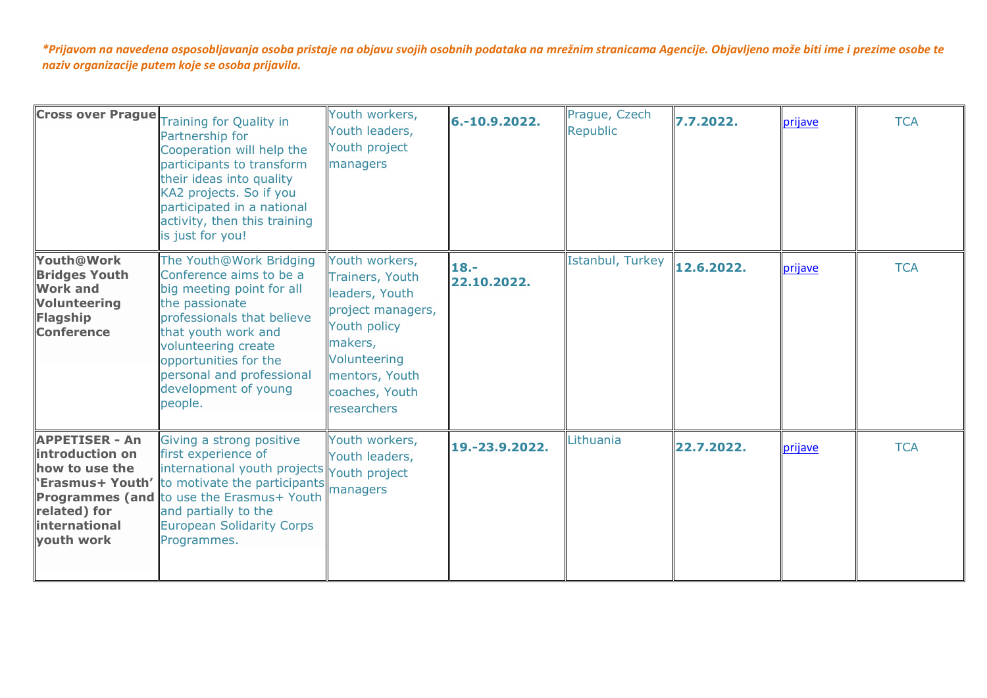|                                                                                                                      | <b>Cross over Prague</b> Training for Quality in<br>Partnership for<br>Cooperation will help the<br>participants to transform<br>their ideas into quality<br>KA2 projects. So if you<br>participated in a national<br>activity, then this training<br>is just for you!               | Youth workers,<br>Youth leaders,<br>Youth project<br>managers                                                                                                          | 6.-10.9.2022.          | Prague, Czech<br>Republic | 7.7.2022.  | prijave | <b>TCA</b> |
|----------------------------------------------------------------------------------------------------------------------|--------------------------------------------------------------------------------------------------------------------------------------------------------------------------------------------------------------------------------------------------------------------------------------|------------------------------------------------------------------------------------------------------------------------------------------------------------------------|------------------------|---------------------------|------------|---------|------------|
| Youth@Work<br><b>Bridges Youth</b><br><b>Work and</b><br><b>Volunteering</b><br><b>Flagship</b><br><b>Conference</b> | The Youth@Work Bridging<br>Conference aims to be a<br>big meeting point for all<br>the passionate<br>professionals that believe<br>that youth work and<br>volunteering create<br>opportunities for the<br>personal and professional<br>development of young<br>people.               | Youth workers,<br>Trainers, Youth<br>leaders, Youth<br>project managers,<br>Youth policy<br>makers,<br>Volunteering<br>mentors, Youth<br>coaches, Youth<br>researchers | $18. -$<br>22.10.2022. | Istanbul, Turkey          | 12.6.2022. | prijave | <b>TCA</b> |
| <b>APPETISER - An</b><br>introduction on<br>how to use the<br>related) for<br>international<br>vouth work            | Giving a strong positive<br>first experience of<br>international youth projects Youth project<br><b>'Erasmus+ Youth'</b> to motivate the participants<br><b>Programmes (and to use the Erasmus+ Youth</b><br>and partially to the<br><b>European Solidarity Corps</b><br>Programmes. | Youth workers,<br>Youth leaders,<br>managers                                                                                                                           | 19.-23.9.2022.         | Lithuania                 | 22.7.2022. | prijave | <b>TCA</b> |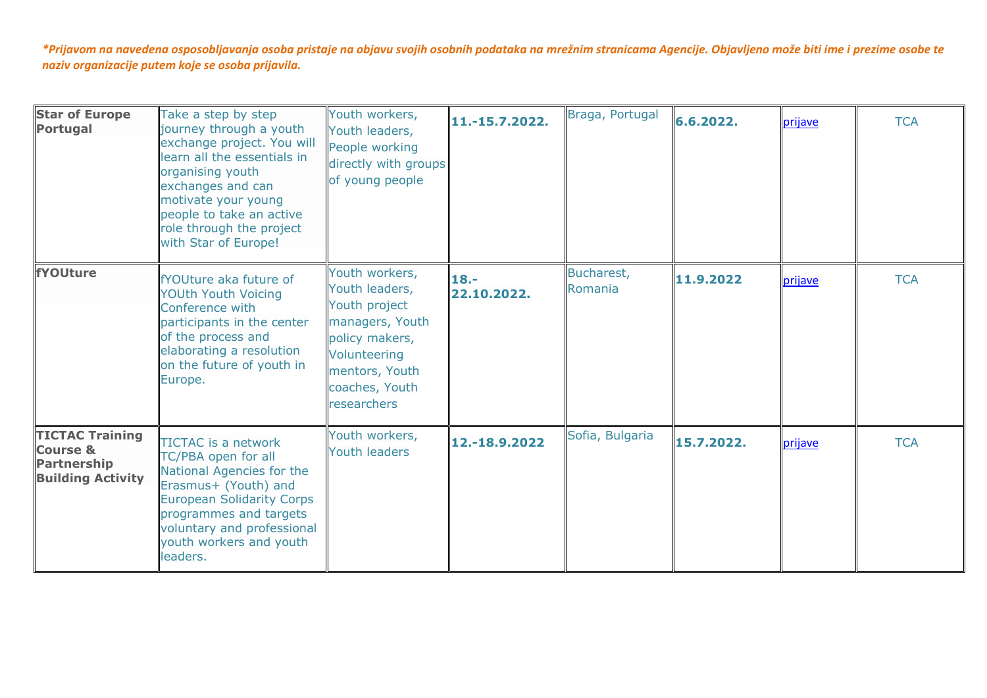| <b>Star of Europe</b><br><b>Portugal</b>                                                        | Take a step by step<br>journey through a youth<br>exchange project. You will<br>learn all the essentials in<br>organising youth<br>exchanges and can<br>motivate your young<br>people to take an active<br>role through the project<br>with Star of Europe! | Youth workers,<br>Youth leaders,<br>People working<br>directly with groups<br>of young people                                                             | 11.-15.7.2022.         | Braga, Portugal       | 6.6.2022.  | prijave | <b>TCA</b> |
|-------------------------------------------------------------------------------------------------|-------------------------------------------------------------------------------------------------------------------------------------------------------------------------------------------------------------------------------------------------------------|-----------------------------------------------------------------------------------------------------------------------------------------------------------|------------------------|-----------------------|------------|---------|------------|
| fYOUture                                                                                        | <b>Prouture aka future of</b><br><b>YOUth Youth Voicing</b><br>Conference with<br>participants in the center<br>of the process and<br>elaborating a resolution<br>on the future of youth in<br>Europe.                                                      | Youth workers,<br>Youth leaders,<br>Youth project<br>managers, Youth<br>policy makers,<br>Volunteering<br>mentors, Youth<br>coaches, Youth<br>researchers | $18. -$<br>22.10.2022. | Bucharest,<br>Romania | 11.9.2022  | prijave | <b>TCA</b> |
| <b>TICTAC Training</b><br><b>Course &amp;</b><br><b>Partnership</b><br><b>Building Activity</b> | TICTAC is a network<br>TC/PBA open for all<br>National Agencies for the<br>Erasmus+ (Youth) and<br><b>European Solidarity Corps</b><br>programmes and targets<br>voluntary and professional<br>youth workers and youth<br>leaders.                          | Youth workers,<br><b>Youth leaders</b>                                                                                                                    | 12.-18.9.2022          | Sofia, Bulgaria       | 15.7.2022. | prijave | <b>TCA</b> |